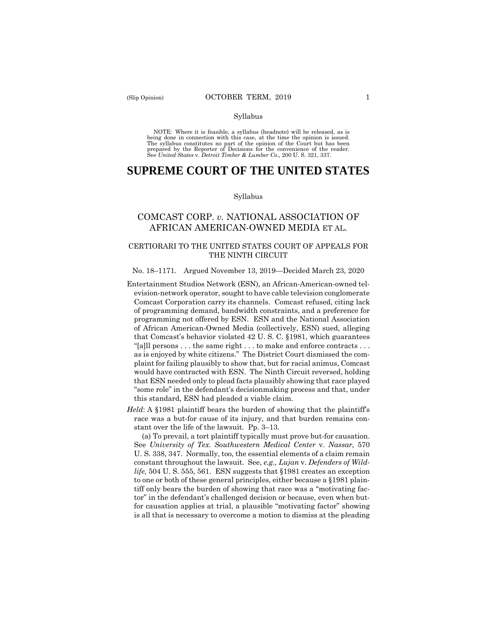#### Syllabus

 NOTE: Where it is feasible, a syllabus (headnote) will be released, as is being done in connection with this case, at the time the opinion is issued. The syllabus constitutes no part of the opinion of the Court but has been<br>prepared by the Reporter of Decisions for the convenience of the reader.<br>See United States v. Detroit Timber & Lumber Co., 200 U.S. 321, 337.

# **SUPREME COURT OF THE UNITED STATES**

#### Syllabus

## COMCAST CORP. *v.* NATIONAL ASSOCIATION OF AFRICAN AMERICAN-OWNED MEDIA ET AL.

### CERTIORARI TO THE UNITED STATES COURT OF APPEALS FOR THE NINTH CIRCUIT

#### No. 18–1171. Argued November 13, 2019—Decided March 23, 2020

- Comcast Corporation carry its channels. Comcast refused, citing lack as is enjoyed by white citizens." The District Court dismissed the com-Entertainment Studios Network (ESN), an African-American-owned television-network operator, sought to have cable television conglomerate of programming demand, bandwidth constraints, and a preference for programming not offered by ESN. ESN and the National Association of African American-Owned Media (collectively, ESN) sued, alleging that Comcast's behavior violated 42 U. S. C. §1981, which guarantees "[a]ll persons . . . the same right . . . to make and enforce contracts . . . plaint for failing plausibly to show that, but for racial animus, Comcast would have contracted with ESN. The Ninth Circuit reversed, holding that ESN needed only to plead facts plausibly showing that race played "some role" in the defendant's decisionmaking process and that, under this standard, ESN had pleaded a viable claim.
- *Held*: A §1981 plaintiff bears the burden of showing that the plaintiff's race was a but-for cause of its injury, and that burden remains constant over the life of the lawsuit. Pp. 3–13.

(a) To prevail, a tort plaintiff typically must prove but-for causation. See *University of Tex. Southwestern Medical Center* v. *Nassar,* 570 U. S. 338, 347. Normally, too, the essential elements of a claim remain constant throughout the lawsuit. See, *e.g., Lujan* v. *Defenders of Wildlife,* 504 U. S. 555, 561. ESN suggests that §1981 creates an exception to one or both of these general principles, either because a §1981 plaintiff only bears the burden of showing that race was a "motivating factor" in the defendant's challenged decision or because, even when butfor causation applies at trial, a plausible "motivating factor" showing is all that is necessary to overcome a motion to dismiss at the pleading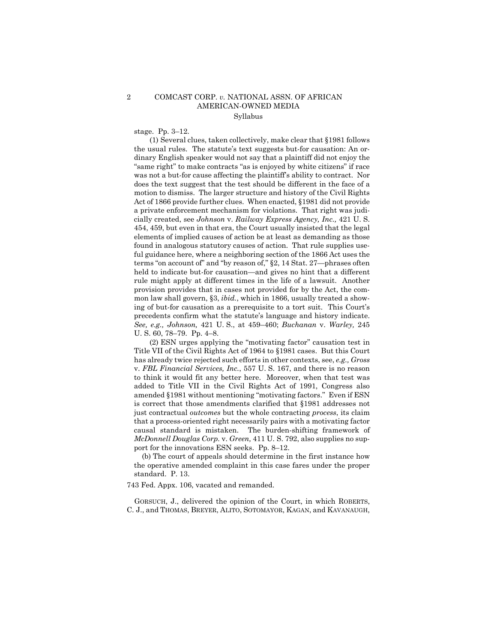### 2 COMCAST CORP. *v.* NATIONAL ASSN. OF AFRICAN AMERICAN-OWNED MEDIA Syllabus

stage. Pp. 3–12.

(1) Several clues, taken collectively, make clear that §1981 follows the usual rules. The statute's text suggests but-for causation: An ordinary English speaker would not say that a plaintiff did not enjoy the "same right" to make contracts "as is enjoyed by white citizens" if race was not a but-for cause affecting the plaintiff's ability to contract. Nor does the text suggest that the test should be different in the face of a motion to dismiss. The larger structure and history of the Civil Rights Act of 1866 provide further clues. When enacted, §1981 did not provide a private enforcement mechanism for violations. That right was judicially created, see *Johnson* v. *Railway Express Agency, Inc.,* 421 U. S. 454, 459, but even in that era, the Court usually insisted that the legal elements of implied causes of action be at least as demanding as those found in analogous statutory causes of action. That rule supplies useful guidance here, where a neighboring section of the 1866 Act uses the terms "on account of" and "by reason of," §2, 14 Stat. 27—phrases often held to indicate but-for causation—and gives no hint that a different rule might apply at different times in the life of a lawsuit. Another provision provides that in cases not provided for by the Act, the common law shall govern, §3, *ibid.*, which in 1866, usually treated a showing of but-for causation as a prerequisite to a tort suit. This Court's precedents confirm what the statute's language and history indicate. *See, e.g., Johnson,* 421 U. S., at 459–460; *Buchanan* v. *Warley,* 245 U. S. 60, 78–79. Pp. 4–8.

(2) ESN urges applying the "motivating factor" causation test in Title VII of the Civil Rights Act of 1964 to §1981 cases. But this Court has already twice rejected such efforts in other contexts, see, *e.g., Gross*  v. *FBL Financial Services, Inc.*, 557 U. S. 167, and there is no reason to think it would fit any better here. Moreover, when that test was added to Title VII in the Civil Rights Act of 1991, Congress also amended §1981 without mentioning "motivating factors." Even if ESN is correct that those amendments clarified that §1981 addresses not just contractual *outcomes* but the whole contracting *process*, its claim that a process-oriented right necessarily pairs with a motivating factor causal standard is mistaken. The burden-shifting framework of *McDonnell Douglas Corp.* v. *Green,* 411 U. S. 792, also supplies no support for the innovations ESN seeks. Pp. 8–12.

(b) The court of appeals should determine in the first instance how the operative amended complaint in this case fares under the proper standard. P. 13.

743 Fed. Appx. 106, vacated and remanded.

GORSUCH, J., delivered the opinion of the Court, in which ROBERTS, C. J., and THOMAS, BREYER, ALITO, SOTOMAYOR, KAGAN, and KAVANAUGH,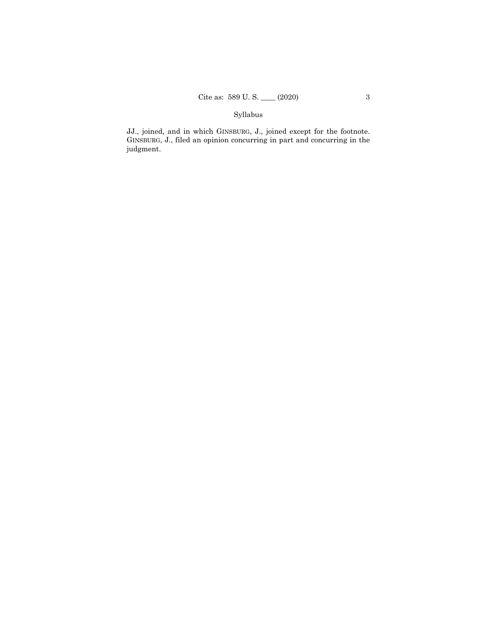## Syllabus

JJ., joined, and in which GINSBURG, J., joined except for the footnote. GINSBURG, J., filed an opinion concurring in part and concurring in the judgment.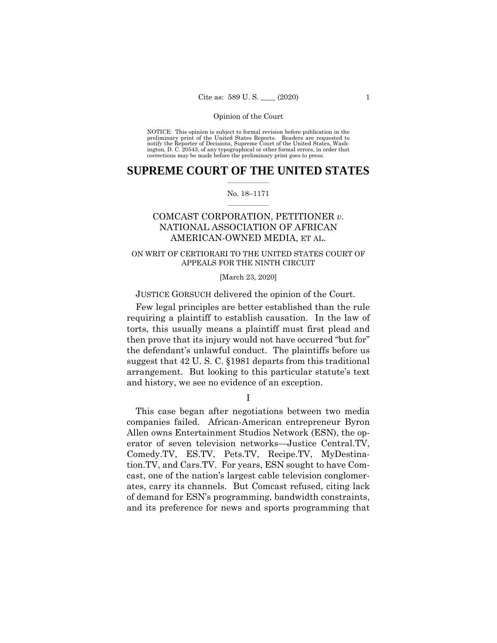NOTICE: This opinion is subject to formal revision before publication in the preliminary print of the United States Reports. Readers are requested to notify the Reporter of Decisions, Supreme Court of the United States, Wash-ington, D. C. 20543, of any typographical or other formal errors, in order that corrections may be made before the preliminary print goes to press.

### $\frac{1}{2}$  , where  $\frac{1}{2}$ **SUPREME COURT OF THE UNITED STATES**

#### $\frac{1}{2}$  ,  $\frac{1}{2}$  ,  $\frac{1}{2}$  ,  $\frac{1}{2}$  ,  $\frac{1}{2}$  ,  $\frac{1}{2}$ No. 18–1171

# COMCAST CORPORATION, PETITIONER *v.*  NATIONAL ASSOCIATION OF AFRICAN AMERICAN-OWNED MEDIA, ET AL.

### ON WRIT OF CERTIORARI TO THE UNITED STATES COURT OF APPEALS FOR THE NINTH CIRCUIT

[March 23, 2020]

JUSTICE GORSUCH delivered the opinion of the Court.

Few legal principles are better established than the rule requiring a plaintiff to establish causation. In the law of torts, this usually means a plaintiff must first plead and then prove that its injury would not have occurred "but for" the defendant's unlawful conduct. The plaintiffs before us suggest that 42 U. S. C. §1981 departs from this traditional arrangement. But looking to this particular statute's text and history, we see no evidence of an exception.

I

This case began after negotiations between two media companies failed. African-American entrepreneur Byron Allen owns Entertainment Studios Network (ESN), the operator of seven television networks—Justice [Central.TV,](https://Central.TV) [Comedy.TV](https://Comedy.TV), ES.TV, Pets.TV, [Recipe.TV](https://Recipe.TV), MyDestination.TV, and Cars.TV. For years, ESN sought to have Comcast, one of the nation's largest cable television conglomerates, carry its channels. But Comcast refused, citing lack of demand for ESN's programming, bandwidth constraints, and its preference for news and sports programming that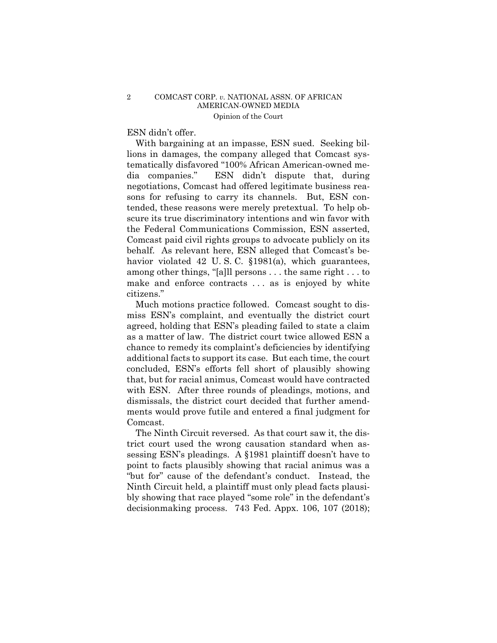### ESN didn't offer.

With bargaining at an impasse, ESN sued. Seeking billions in damages, the company alleged that Comcast systematically disfavored "100% African American-owned media companies." ESN didn't dispute that, during negotiations, Comcast had offered legitimate business reasons for refusing to carry its channels. But, ESN contended, these reasons were merely pretextual. To help obscure its true discriminatory intentions and win favor with the Federal Communications Commission, ESN asserted, Comcast paid civil rights groups to advocate publicly on its behalf. As relevant here, ESN alleged that Comcast's behavior violated 42 U.S.C. §1981(a), which guarantees, among other things, "[a]ll persons . . . the same right . . . to make and enforce contracts ... as is enjoyed by white citizens."

Much motions practice followed. Comcast sought to dismiss ESN's complaint, and eventually the district court agreed, holding that ESN's pleading failed to state a claim as a matter of law. The district court twice allowed ESN a chance to remedy its complaint's deficiencies by identifying additional facts to support its case. But each time, the court concluded, ESN's efforts fell short of plausibly showing that, but for racial animus, Comcast would have contracted with ESN. After three rounds of pleadings, motions, and dismissals, the district court decided that further amendments would prove futile and entered a final judgment for Comcast.

The Ninth Circuit reversed. As that court saw it, the district court used the wrong causation standard when assessing ESN's pleadings. A §1981 plaintiff doesn't have to point to facts plausibly showing that racial animus was a "but for" cause of the defendant's conduct. Instead, the Ninth Circuit held, a plaintiff must only plead facts plausibly showing that race played "some role" in the defendant's decisionmaking process. 743 Fed. Appx. 106, 107 (2018);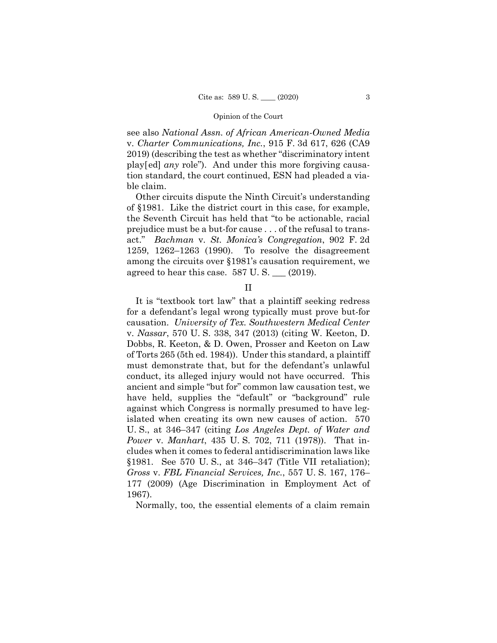see also *National Assn. of African American-Owned Media*  v. *Charter Communications, Inc.*, 915 F. 3d 617, 626 (CA9 2019) (describing the test as whether "discriminatory intent play[ed] *any* role"). And under this more forgiving causation standard, the court continued, ESN had pleaded a viable claim.

Other circuits dispute the Ninth Circuit's understanding of §1981. Like the district court in this case, for example, the Seventh Circuit has held that "to be actionable, racial prejudice must be a but-for cause . . . of the refusal to transact." *Bachman* v. *St. Monica's Congregation*, 902 F. 2d 1259, 1262–1263 (1990). To resolve the disagreement among the circuits over §1981's causation requirement, we agreed to hear this case.  $587 \text{ U.S.}$  (2019).

### II

It is "textbook tort law" that a plaintiff seeking redress for a defendant's legal wrong typically must prove but-for causation. *University of Tex. Southwestern Medical Center*  v. *Nassar*, 570 U. S. 338, 347 (2013) (citing W. Keeton, D. Dobbs, R. Keeton, & D. Owen, Prosser and Keeton on Law of Torts 265 (5th ed. 1984)). Under this standard, a plaintiff must demonstrate that, but for the defendant's unlawful conduct, its alleged injury would not have occurred. This ancient and simple "but for" common law causation test, we have held, supplies the "default" or "background" rule against which Congress is normally presumed to have legislated when creating its own new causes of action. 570 U. S., at 346–347 (citing *Los Angeles Dept. of Water and Power* v. *Manhart*, 435 U. S. 702, 711 (1978)). That includes when it comes to federal antidiscrimination laws like §1981. See 570 U. S., at 346–347 (Title VII retaliation); *Gross* v. *FBL Financial Services, Inc.*, 557 U. S. 167, 176– 177 (2009) (Age Discrimination in Employment Act of 1967).

Normally, too, the essential elements of a claim remain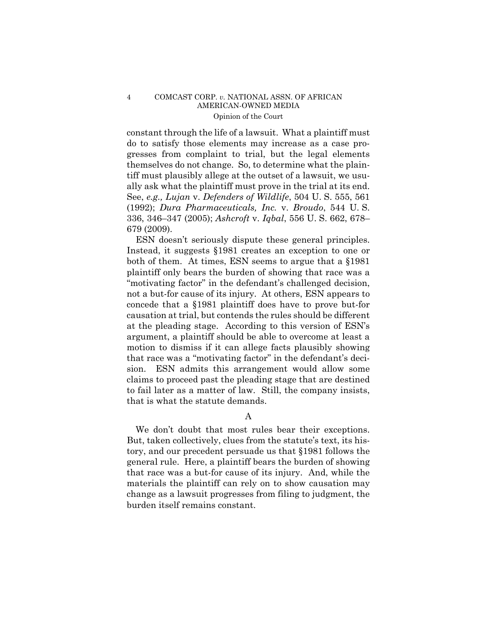### 4 COMCAST CORP. *v.* NATIONAL ASSN. OF AFRICAN AMERICAN-OWNED MEDIA Opinion of the Court

constant through the life of a lawsuit. What a plaintiff must do to satisfy those elements may increase as a case progresses from complaint to trial, but the legal elements themselves do not change. So, to determine what the plaintiff must plausibly allege at the outset of a lawsuit, we usually ask what the plaintiff must prove in the trial at its end. See, *e.g., Lujan* v. *Defenders of Wildlife*, 504 U. S. 555, 561 (1992); *Dura Pharmaceuticals, Inc.* v. *Broudo*, 544 U. S. 336, 346–347 (2005); *Ashcroft* v. *Iqbal*, 556 U. S. 662, 678– 679 (2009).

ESN doesn't seriously dispute these general principles. Instead, it suggests §1981 creates an exception to one or both of them. At times, ESN seems to argue that a §1981 plaintiff only bears the burden of showing that race was a "motivating factor" in the defendant's challenged decision, not a but-for cause of its injury. At others, ESN appears to concede that a §1981 plaintiff does have to prove but-for causation at trial, but contends the rules should be different at the pleading stage. According to this version of ESN's argument, a plaintiff should be able to overcome at least a motion to dismiss if it can allege facts plausibly showing that race was a "motivating factor" in the defendant's decision. ESN admits this arrangement would allow some claims to proceed past the pleading stage that are destined to fail later as a matter of law. Still, the company insists, that is what the statute demands.

A

 We don't doubt that most rules bear their exceptions. But, taken collectively, clues from the statute's text, its history, and our precedent persuade us that §1981 follows the general rule. Here, a plaintiff bears the burden of showing that race was a but-for cause of its injury. And, while the materials the plaintiff can rely on to show causation may change as a lawsuit progresses from filing to judgment, the burden itself remains constant.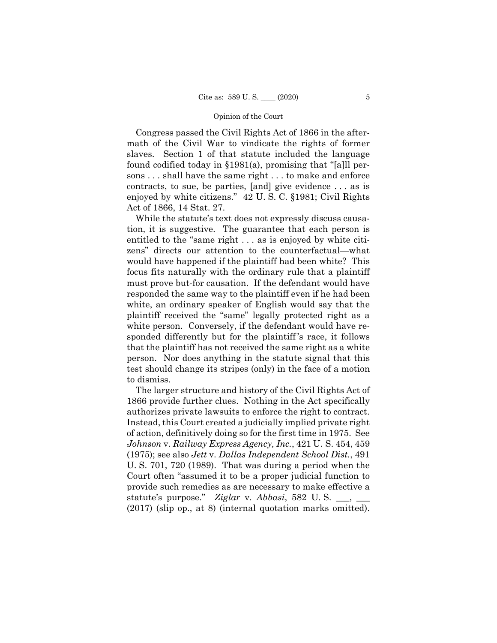Congress passed the Civil Rights Act of 1866 in the aftermath of the Civil War to vindicate the rights of former slaves. Section 1 of that statute included the language found codified today in §1981(a), promising that "[a]ll persons . . . shall have the same right . . . to make and enforce contracts, to sue, be parties, [and] give evidence . . . as is enjoyed by white citizens." 42 U. S. C. §1981; Civil Rights Act of 1866, 14 Stat. 27.

While the statute's text does not expressly discuss causation, it is suggestive. The guarantee that each person is entitled to the "same right . . . as is enjoyed by white citizens" directs our attention to the counterfactual—what would have happened if the plaintiff had been white? This focus fits naturally with the ordinary rule that a plaintiff must prove but-for causation. If the defendant would have responded the same way to the plaintiff even if he had been white, an ordinary speaker of English would say that the plaintiff received the "same" legally protected right as a white person. Conversely, if the defendant would have responded differently but for the plaintiff 's race, it follows that the plaintiff has not received the same right as a white person. Nor does anything in the statute signal that this test should change its stripes (only) in the face of a motion to dismiss.

 authorizes private lawsuits to enforce the right to contract. (2017) (slip op., at 8) (internal quotation marks omitted). The larger structure and history of the Civil Rights Act of 1866 provide further clues. Nothing in the Act specifically Instead, this Court created a judicially implied private right of action, definitively doing so for the first time in 1975. See *Johnson* v. *Railway Express Agency, Inc.*, 421 U. S. 454, 459 (1975); see also *Jett* v. *Dallas Independent School Dist.*, 491 U. S. 701, 720 (1989). That was during a period when the Court often "assumed it to be a proper judicial function to provide such remedies as are necessary to make effective a statute's purpose." *Ziglar* v. *Abbasi*, 582 U. S. \_\_\_, \_\_\_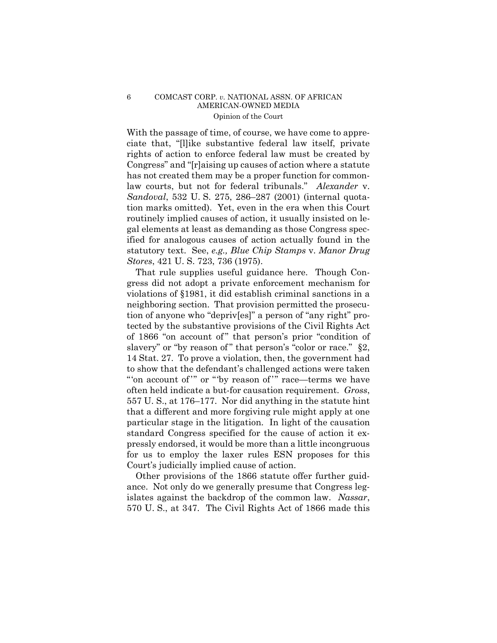### 6 COMCAST CORP. *v.* NATIONAL ASSN. OF AFRICAN AMERICAN-OWNED MEDIA Opinion of the Court

With the passage of time, of course, we have come to appreciate that, "[l]ike substantive federal law itself, private rights of action to enforce federal law must be created by Congress" and "[r]aising up causes of action where a statute has not created them may be a proper function for commonlaw courts, but not for federal tribunals." *Alexander* v. *Sandoval*, 532 U. S. 275, 286–287 (2001) (internal quotation marks omitted). Yet, even in the era when this Court routinely implied causes of action, it usually insisted on legal elements at least as demanding as those Congress specified for analogous causes of action actually found in the statutory text. See, *e.g., Blue Chip Stamps* v. *Manor Drug Stores*, 421 U. S. 723, 736 (1975).

That rule supplies useful guidance here. Though Congress did not adopt a private enforcement mechanism for violations of §1981, it did establish criminal sanctions in a neighboring section. That provision permitted the prosecution of anyone who "depriv[es]" a person of "any right" protected by the substantive provisions of the Civil Rights Act of 1866 "on account of " that person's prior "condition of slavery" or "by reason of" that person's "color or race." §2, 14 Stat. 27. To prove a violation, then, the government had to show that the defendant's challenged actions were taken "'on account of "" or ""by reason of "" race—terms we have often held indicate a but-for causation requirement. *Gross*, 557 U. S., at 176–177. Nor did anything in the statute hint that a different and more forgiving rule might apply at one particular stage in the litigation. In light of the causation standard Congress specified for the cause of action it expressly endorsed, it would be more than a little incongruous for us to employ the laxer rules ESN proposes for this Court's judicially implied cause of action.

Other provisions of the 1866 statute offer further guidance. Not only do we generally presume that Congress legislates against the backdrop of the common law. *Nassar*, 570 U. S., at 347. The Civil Rights Act of 1866 made this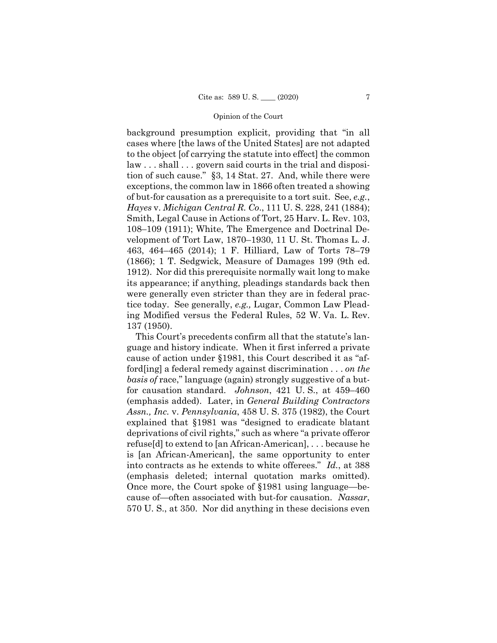background presumption explicit, providing that "in all cases where [the laws of the United States] are not adapted to the object [of carrying the statute into effect] the common law . . . shall . . . govern said courts in the trial and disposition of such cause." §3, 14 Stat. 27. And, while there were exceptions, the common law in 1866 often treated a showing of but-for causation as a prerequisite to a tort suit. See, *e.g.*, *Hayes* v. *Michigan Central R. Co*., 111 U. S. 228, 241 (1884); Smith, Legal Cause in Actions of Tort, 25 Harv. L. Rev. 103, 108–109 (1911); White, The Emergence and Doctrinal Development of Tort Law, 1870–1930, 11 U. St. Thomas L. J. 463, 464–465 (2014); 1 F. Hilliard, Law of Torts 78–79 (1866); 1 T. Sedgwick, Measure of Damages 199 (9th ed. 1912). Nor did this prerequisite normally wait long to make its appearance; if anything, pleadings standards back then were generally even stricter than they are in federal practice today. See generally, *e.g.,* Lugar, Common Law Pleading Modified versus the Federal Rules, 52 W. Va. L. Rev. 137 (1950).

This Court's precedents confirm all that the statute's language and history indicate. When it first inferred a private cause of action under §1981, this Court described it as "afford[ing] a federal remedy against discrimination . . . *on the basis of* race," language (again) strongly suggestive of a butfor causation standard. *Johnson*, 421 U. S., at 459–460 (emphasis added). Later, in *General Building Contractors Assn., Inc.* v. *Pennsylvania*, 458 U. S. 375 (1982), the Court explained that §1981 was "designed to eradicate blatant deprivations of civil rights," such as where "a private offeror refuse[d] to extend to [an African-American], . . . because he is [an African-American], the same opportunity to enter into contracts as he extends to white offerees." *Id.*, at 388 (emphasis deleted; internal quotation marks omitted). Once more, the Court spoke of §1981 using language—because of—often associated with but-for causation. *Nassar*, 570 U. S., at 350. Nor did anything in these decisions even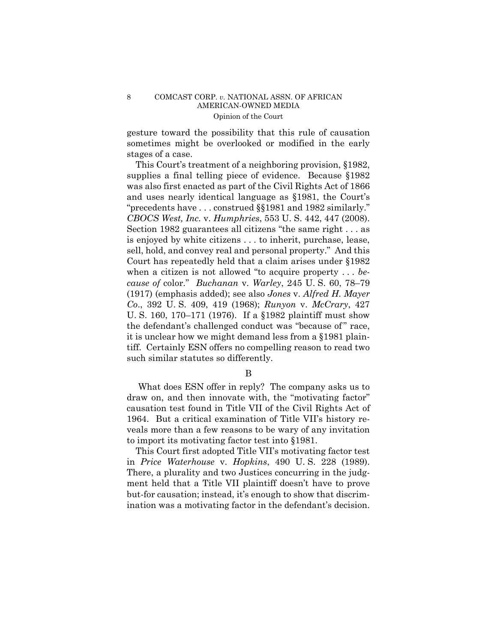### 8 COMCAST CORP. *v.* NATIONAL ASSN. OF AFRICAN AMERICAN-OWNED MEDIA Opinion of the Court

gesture toward the possibility that this rule of causation sometimes might be overlooked or modified in the early stages of a case.

This Court's treatment of a neighboring provision, §1982, supplies a final telling piece of evidence. Because §1982 was also first enacted as part of the Civil Rights Act of 1866 and uses nearly identical language as §1981, the Court's "precedents have . . . construed §§1981 and 1982 similarly." *CBOCS West, Inc.* v. *Humphries*, 553 U. S. 442, 447 (2008). Section 1982 guarantees all citizens "the same right . . . as is enjoyed by white citizens . . . to inherit, purchase, lease, sell, hold, and convey real and personal property." And this Court has repeatedly held that a claim arises under §1982 when a citizen is not allowed "to acquire property . . . *because of* color." *Buchanan* v. *Warley*, 245 U. S. 60, 78–79 (1917) (emphasis added); see also *Jones* v. *Alfred H. Mayer Co*., 392 U. S. 409, 419 (1968); *Runyon* v. *McCrary*, 427 U. S. 160, 170–171 (1976). If a §1982 plaintiff must show the defendant's challenged conduct was "because of" race, it is unclear how we might demand less from a §1981 plaintiff. Certainly ESN offers no compelling reason to read two such similar statutes so differently.

B

What does ESN offer in reply? The company asks us to draw on, and then innovate with, the "motivating factor" causation test found in Title VII of the Civil Rights Act of 1964. But a critical examination of Title VII's history reveals more than a few reasons to be wary of any invitation to import its motivating factor test into §1981.

This Court first adopted Title VII's motivating factor test in *Price Waterhouse* v. *Hopkins*, 490 U. S. 228 (1989). There, a plurality and two Justices concurring in the judgment held that a Title VII plaintiff doesn't have to prove but-for causation; instead, it's enough to show that discrimination was a motivating factor in the defendant's decision.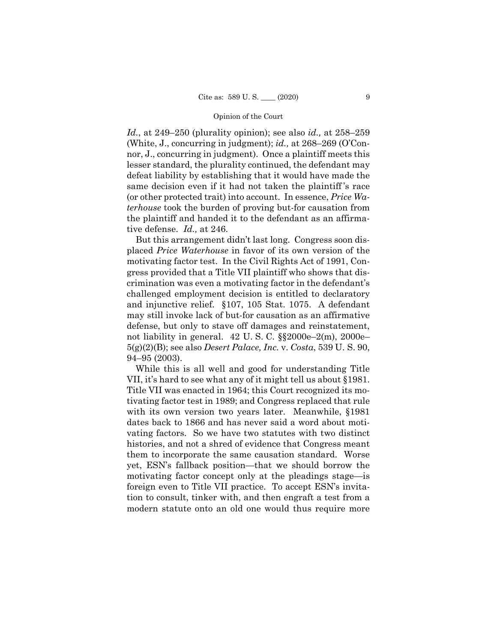*Id.*, at 249–250 (plurality opinion); see also *id.,* at 258–259 (White, J., concurring in judgment); *id.,* at 268–269 (O'Connor, J., concurring in judgment). Once a plaintiff meets this lesser standard, the plurality continued, the defendant may defeat liability by establishing that it would have made the same decision even if it had not taken the plaintiff 's race (or other protected trait) into account. In essence, *Price Waterhouse* took the burden of proving but-for causation from the plaintiff and handed it to the defendant as an affirmative defense. *Id.,* at 246.

But this arrangement didn't last long. Congress soon displaced *Price Waterhouse* in favor of its own version of the motivating factor test. In the Civil Rights Act of 1991, Congress provided that a Title VII plaintiff who shows that discrimination was even a motivating factor in the defendant's challenged employment decision is entitled to declaratory and injunctive relief. §107, 105 Stat. 1075. A defendant may still invoke lack of but-for causation as an affirmative defense, but only to stave off damages and reinstatement, not liability in general. 42 U. S. C. §§2000e–2(m), 2000e– 5(g)(2)(B); see also *Desert Palace, Inc.* v. *Costa*, 539 U. S. 90, 94–95 (2003).

While this is all well and good for understanding Title VII, it's hard to see what any of it might tell us about §1981. Title VII was enacted in 1964; this Court recognized its motivating factor test in 1989; and Congress replaced that rule with its own version two years later. Meanwhile, §1981 dates back to 1866 and has never said a word about motivating factors. So we have two statutes with two distinct histories, and not a shred of evidence that Congress meant them to incorporate the same causation standard. Worse yet, ESN's fallback position—that we should borrow the motivating factor concept only at the pleadings stage—is foreign even to Title VII practice. To accept ESN's invitation to consult, tinker with, and then engraft a test from a modern statute onto an old one would thus require more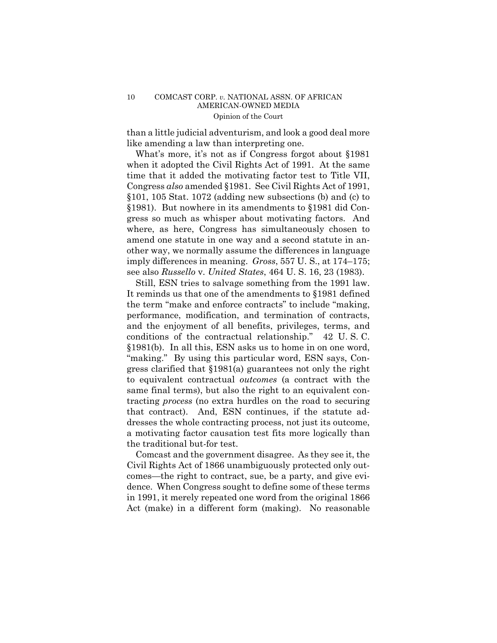than a little judicial adventurism, and look a good deal more like amending a law than interpreting one.

What's more, it's not as if Congress forgot about §1981 when it adopted the Civil Rights Act of 1991. At the same time that it added the motivating factor test to Title VII, Congress *also* amended §1981. See Civil Rights Act of 1991, §101, 105 Stat. 1072 (adding new subsections (b) and (c) to §1981). But nowhere in its amendments to §1981 did Congress so much as whisper about motivating factors. And where, as here, Congress has simultaneously chosen to amend one statute in one way and a second statute in another way, we normally assume the differences in language imply differences in meaning. *Gross*, 557 U. S., at 174–175; see also *Russello* v. *United States*, 464 U. S. 16, 23 (1983).

 "making." By using this particular word, ESN says, Con-Still, ESN tries to salvage something from the 1991 law. It reminds us that one of the amendments to §1981 defined the term "make and enforce contracts" to include "making, performance, modification, and termination of contracts, and the enjoyment of all benefits, privileges, terms, and conditions of the contractual relationship." 42 U. S. C. §1981(b). In all this, ESN asks us to home in on one word, gress clarified that §1981(a) guarantees not only the right to equivalent contractual *outcomes* (a contract with the same final terms), but also the right to an equivalent contracting *process* (no extra hurdles on the road to securing that contract). And, ESN continues, if the statute addresses the whole contracting process, not just its outcome, a motivating factor causation test fits more logically than the traditional but-for test.

Comcast and the government disagree. As they see it, the Civil Rights Act of 1866 unambiguously protected only outcomes—the right to contract, sue, be a party, and give evidence. When Congress sought to define some of these terms in 1991, it merely repeated one word from the original 1866 Act (make) in a different form (making). No reasonable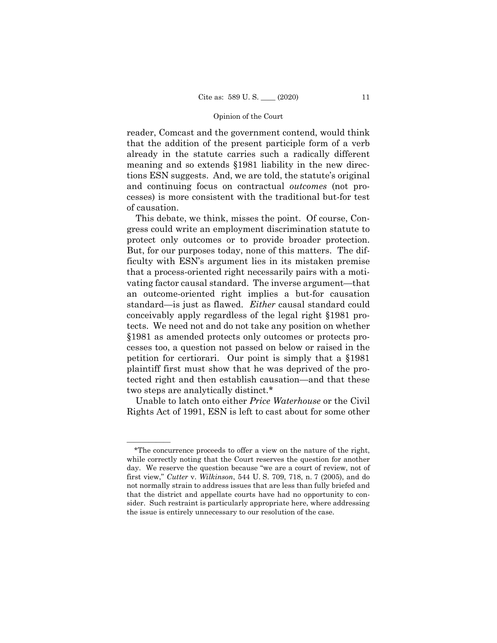reader, Comcast and the government contend, would think that the addition of the present participle form of a verb already in the statute carries such a radically different meaning and so extends §1981 liability in the new directions ESN suggests. And, we are told, the statute's original and continuing focus on contractual *outcomes* (not processes) is more consistent with the traditional but-for test of causation.

This debate, we think, misses the point. Of course, Congress could write an employment discrimination statute to protect only outcomes or to provide broader protection. But, for our purposes today, none of this matters. The difficulty with ESN's argument lies in its mistaken premise that a process-oriented right necessarily pairs with a motivating factor causal standard. The inverse argument—that an outcome-oriented right implies a but-for causation standard—is just as flawed. *Either* causal standard could conceivably apply regardless of the legal right §1981 protects. We need not and do not take any position on whether §1981 as amended protects only outcomes or protects processes too, a question not passed on below or raised in the petition for certiorari. Our point is simply that a §1981 plaintiff first must show that he was deprived of the protected right and then establish causation—and that these two steps are analytically distinct.\*

Unable to latch onto either *Price Waterhouse* or the Civil Rights Act of 1991, ESN is left to cast about for some other

——————

<sup>\*</sup>The concurrence proceeds to offer a view on the nature of the right, while correctly noting that the Court reserves the question for another day. We reserve the question because "we are a court of review, not of first view," *Cutter* v. *Wilkinson*, 544 U. S. 709, 718, n. 7 (2005), and do not normally strain to address issues that are less than fully briefed and that the district and appellate courts have had no opportunity to consider. Such restraint is particularly appropriate here, where addressing the issue is entirely unnecessary to our resolution of the case.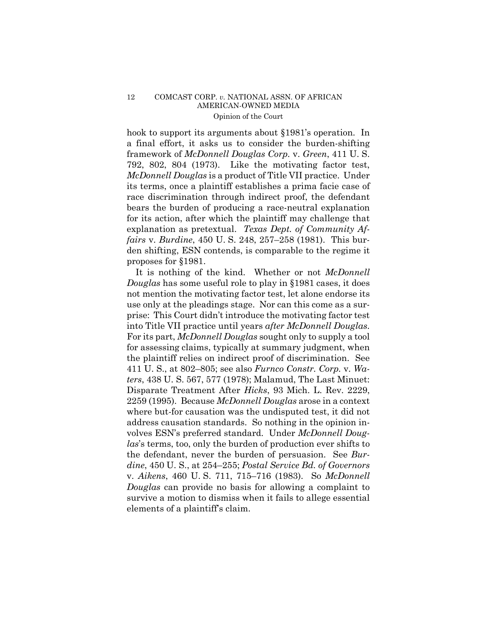### 12 COMCAST CORP. *v.* NATIONAL ASSN. OF AFRICAN AMERICAN-OWNED MEDIA Opinion of the Court

hook to support its arguments about §1981's operation. In a final effort, it asks us to consider the burden-shifting framework of *McDonnell Douglas Corp.* v. *Green*, 411 U. S. 792, 802, 804 (1973). Like the motivating factor test, *McDonnell Douglas* is a product of Title VII practice. Under its terms, once a plaintiff establishes a prima facie case of race discrimination through indirect proof, the defendant bears the burden of producing a race-neutral explanation for its action, after which the plaintiff may challenge that explanation as pretextual. *Texas Dept. of Community Affairs* v. *Burdine*, 450 U. S. 248, 257–258 (1981). This burden shifting, ESN contends, is comparable to the regime it proposes for §1981.

It is nothing of the kind. Whether or not *McDonnell Douglas* has some useful role to play in §1981 cases, it does not mention the motivating factor test, let alone endorse its use only at the pleadings stage. Nor can this come as a surprise: This Court didn't introduce the motivating factor test into Title VII practice until years *after McDonnell Douglas*. For its part, *McDonnell Douglas* sought only to supply a tool for assessing claims, typically at summary judgment, when the plaintiff relies on indirect proof of discrimination. See 411 U. S., at 802–805; see also *Furnco Constr. Corp.* v. *Waters*, 438 U. S. 567, 577 (1978); Malamud, The Last Minuet: Disparate Treatment After *Hicks*, 93 Mich. L. Rev. 2229, 2259 (1995). Because *McDonnell Douglas* arose in a context where but-for causation was the undisputed test, it did not address causation standards. So nothing in the opinion involves ESN's preferred standard. Under *McDonnell Douglas*'s terms, too, only the burden of production ever shifts to the defendant, never the burden of persuasion. See *Burdine*, 450 U. S., at 254–255; *Postal Service Bd. of Governors*  v. *Aikens*, 460 U. S. 711, 715–716 (1983). So *McDonnell Douglas* can provide no basis for allowing a complaint to survive a motion to dismiss when it fails to allege essential elements of a plaintiff's claim.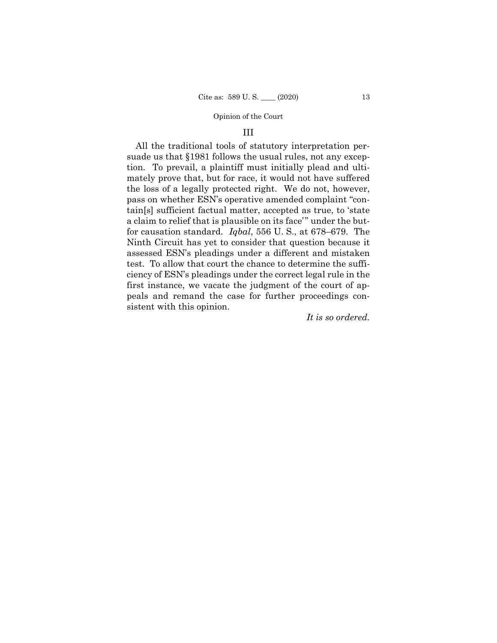### III

 for causation standard. *Iqbal*, 556 U. S., at 678–679. The All the traditional tools of statutory interpretation persuade us that §1981 follows the usual rules, not any exception. To prevail, a plaintiff must initially plead and ultimately prove that, but for race, it would not have suffered the loss of a legally protected right. We do not, however, pass on whether ESN's operative amended complaint "contain[s] sufficient factual matter, accepted as true, to 'state a claim to relief that is plausible on its face" under the but-Ninth Circuit has yet to consider that question because it assessed ESN's pleadings under a different and mistaken test. To allow that court the chance to determine the sufficiency of ESN's pleadings under the correct legal rule in the first instance, we vacate the judgment of the court of appeals and remand the case for further proceedings consistent with this opinion.

*It is so ordered.*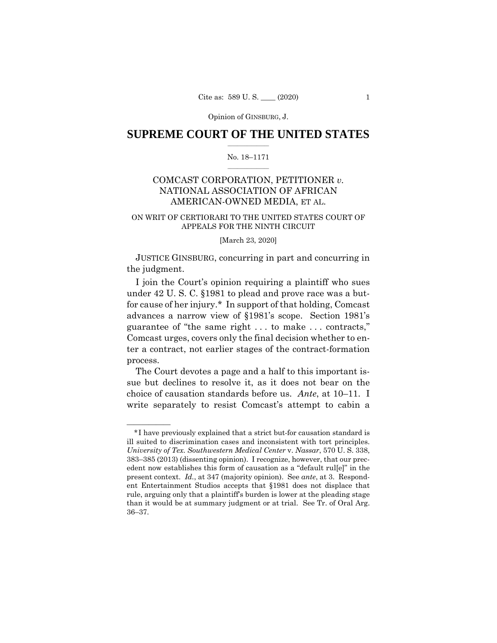Opinion of GINSBURG, J.

### $\frac{1}{2}$  ,  $\frac{1}{2}$  ,  $\frac{1}{2}$  ,  $\frac{1}{2}$  ,  $\frac{1}{2}$  ,  $\frac{1}{2}$  ,  $\frac{1}{2}$ **SUPREME COURT OF THE UNITED STATES**

#### $\frac{1}{2}$  ,  $\frac{1}{2}$  ,  $\frac{1}{2}$  ,  $\frac{1}{2}$  ,  $\frac{1}{2}$  ,  $\frac{1}{2}$ No. 18–1171

# COMCAST CORPORATION, PETITIONER *v.*  NATIONAL ASSOCIATION OF AFRICAN AMERICAN-OWNED MEDIA, ET AL.

### ON WRIT OF CERTIORARI TO THE UNITED STATES COURT OF APPEALS FOR THE NINTH CIRCUIT

#### [March 23, 2020]

 JUSTICE GINSBURG, concurring in part and concurring in the judgment.

I join the Court's opinion requiring a plaintiff who sues under 42 U. S. C. §1981 to plead and prove race was a butfor cause of her injury.\* In support of that holding, Comcast advances a narrow view of §1981's scope. Section 1981's guarantee of "the same right . . . to make . . . contracts," Comcast urges, covers only the final decision whether to enter a contract, not earlier stages of the contract-formation process.

The Court devotes a page and a half to this important issue but declines to resolve it, as it does not bear on the choice of causation standards before us. *Ante*, at 10–11. I write separately to resist Comcast's attempt to cabin a

——————

 \*I have previously explained that a strict but-for causation standard is ill suited to discrimination cases and inconsistent with tort principles. *University of Tex. Southwestern Medical Center* v. *Nassar*, 570 U. S. 338, 383–385 (2013) (dissenting opinion). I recognize, however, that our precedent now establishes this form of causation as a "default rul[e]" in the present context. *Id.*, at 347 (majority opinion). See *ante*, at 3. Respondent Entertainment Studios accepts that §1981 does not displace that rule, arguing only that a plaintiff's burden is lower at the pleading stage than it would be at summary judgment or at trial. See Tr. of Oral Arg. 36–37.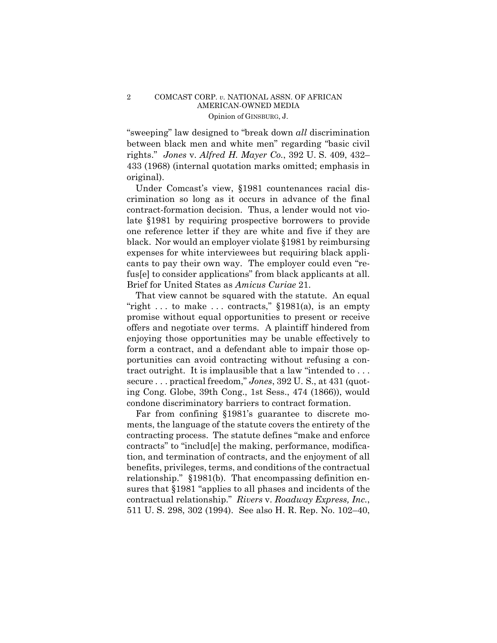### 2 COMCAST CORP. *v.* NATIONAL ASSN. OF AFRICAN AMERICAN-OWNED MEDIA Opinion of GINSBURG, J.

"sweeping" law designed to "break down *all* discrimination between black men and white men" regarding "basic civil rights." *Jones* v. *Alfred H. Mayer Co.*, 392 U. S. 409, 432– 433 (1968) (internal quotation marks omitted; emphasis in original).

Under Comcast's view, §1981 countenances racial discrimination so long as it occurs in advance of the final contract-formation decision. Thus, a lender would not violate §1981 by requiring prospective borrowers to provide one reference letter if they are white and five if they are black. Nor would an employer violate §1981 by reimbursing expenses for white interviewees but requiring black applicants to pay their own way. The employer could even "refus[e] to consider applications" from black applicants at all. Brief for United States as *Amicus Curiae* 21.

That view cannot be squared with the statute. An equal "right  $\dots$  to make  $\dots$  contracts," §1981(a), is an empty promise without equal opportunities to present or receive offers and negotiate over terms. A plaintiff hindered from enjoying those opportunities may be unable effectively to form a contract, and a defendant able to impair those opportunities can avoid contracting without refusing a contract outright. It is implausible that a law "intended to . . . secure . . . practical freedom," *Jones*, 392 U. S., at 431 (quoting Cong. Globe, 39th Cong., 1st Sess., 474 (1866)), would condone discriminatory barriers to contract formation.

Far from confining §1981's guarantee to discrete moments, the language of the statute covers the entirety of the contracting process. The statute defines "make and enforce contracts" to "includ[e] the making, performance, modification, and termination of contracts, and the enjoyment of all benefits, privileges, terms, and conditions of the contractual relationship." §1981(b). That encompassing definition ensures that §1981 "applies to all phases and incidents of the contractual relationship." *Rivers* v. *Roadway Express, Inc.*, 511 U. S. 298, 302 (1994). See also H. R. Rep. No. 102–40,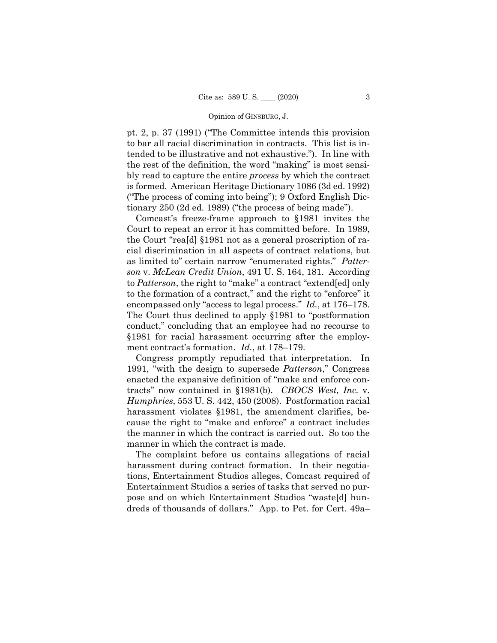#### Opinion of GINSBURG, J.

pt. 2, p. 37 (1991) ("The Committee intends this provision to bar all racial discrimination in contracts. This list is intended to be illustrative and not exhaustive."). In line with the rest of the definition, the word "making" is most sensibly read to capture the entire *process* by which the contract is formed. American Heritage Dictionary 1086 (3d ed. 1992) ("The process of coming into being"); 9 Oxford English Dictionary 250 (2d ed. 1989) ("the process of being made").

Comcast's freeze-frame approach to §1981 invites the Court to repeat an error it has committed before. In 1989, the Court "rea[d] §1981 not as a general proscription of racial discrimination in all aspects of contract relations, but as limited to" certain narrow "enumerated rights." *Patterson* v. *McLean Credit Union*, 491 U. S. 164, 181. According to *Patterson*, the right to "make" a contract "extend[ed] only to the formation of a contract," and the right to "enforce" it encompassed only "access to legal process." *Id.*, at 176–178. The Court thus declined to apply §1981 to "postformation conduct," concluding that an employee had no recourse to §1981 for racial harassment occurring after the employment contract's formation. *Id.*, at 178–179.

Congress promptly repudiated that interpretation. In 1991, "with the design to supersede *Patterson*," Congress enacted the expansive definition of "make and enforce contracts" now contained in §1981(b). *CBOCS West, Inc.* v. *Humphries*, 553 U. S. 442, 450 (2008). Postformation racial harassment violates §1981, the amendment clarifies, because the right to "make and enforce" a contract includes the manner in which the contract is carried out. So too the manner in which the contract is made.

The complaint before us contains allegations of racial harassment during contract formation. In their negotiations, Entertainment Studios alleges, Comcast required of Entertainment Studios a series of tasks that served no purpose and on which Entertainment Studios "waste[d] hundreds of thousands of dollars." App. to Pet. for Cert. 49a–